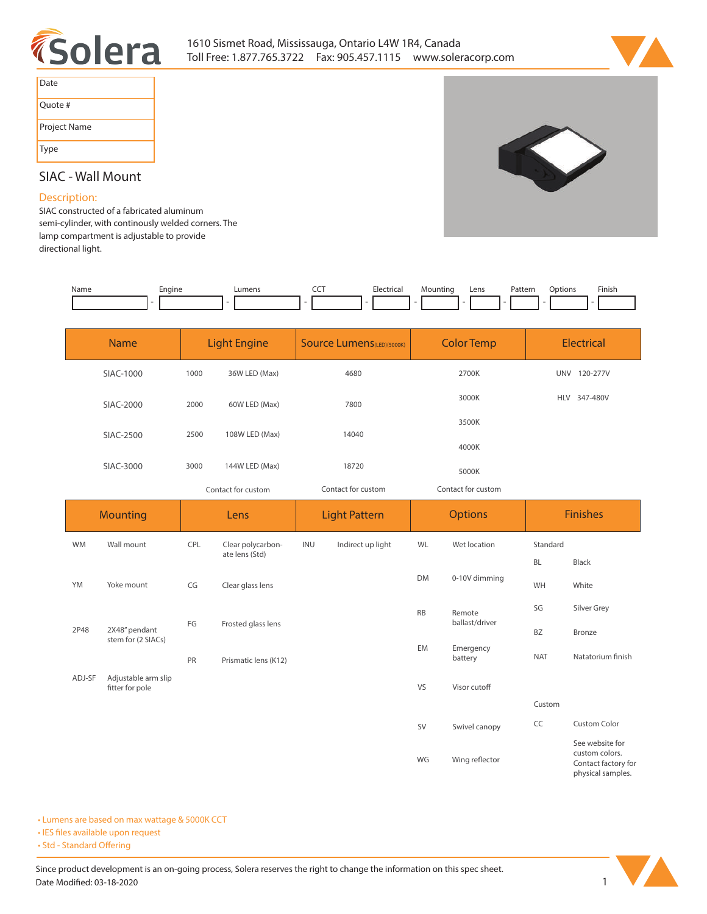



S

| Date         |
|--------------|
| Ouote #      |
| Project Name |
| Type         |

# **SIAC - Wall Mount**

## **Description:**

**SIAC constructed of a fabricated aluminum semi-cylinder, with continously welded corners. The lamp compartment is adjustable to provide directional light.** 

| Name | Engine | IIMan | ---<br>__ | --<br>Electrical | Mountinc | Lens<br>___ | Pattern<br>. | otion: | Finish |
|------|--------|-------|-----------|------------------|----------|-------------|--------------|--------|--------|
|      |        |       |           |                  |          |             |              |        |        |

| <b>Name</b> | <b>Light Engine</b> |                | <b>Source Lumens</b> (LED)(5000K) | <b>Color Temp</b>  | <b>Electrical</b>      |  |
|-------------|---------------------|----------------|-----------------------------------|--------------------|------------------------|--|
| SIAC-1000   | 1000                | 36W LED (Max)  | 4680                              | 2700K              | 120-277V<br><b>UNV</b> |  |
| SIAC-2000   | 2000                | 60W LED (Max)  | 7800                              | 3000K              | 347-480V<br><b>HLV</b> |  |
| SIAC-2500   | 2500                | 108W LED (Max) | 14040                             | 3500K              |                        |  |
|             |                     |                |                                   | 4000K              |                        |  |
| SIAC-3000   | 3000                | 144W LED (Max) | 18720                             | 5000K              |                        |  |
|             | Contact for custom  |                | Contact for custom                | Contact for custom |                        |  |

| <b>Mounting</b> |                                        | Lens |                      | <b>Light Pattern</b> |                   | <b>Options</b> |                      | <b>Finishes</b> |                                                          |
|-----------------|----------------------------------------|------|----------------------|----------------------|-------------------|----------------|----------------------|-----------------|----------------------------------------------------------|
| WM              | Wall mount                             | CPL  | Clear polycarbon-    | INU                  | Indirect up light | WL             | Wet location         | Standard        |                                                          |
|                 |                                        |      | ate lens (Std)       |                      |                   |                |                      | <b>BL</b>       | Black                                                    |
| YM              | Yoke mount                             | CG   | Clear glass lens     |                      |                   | <b>DM</b>      | 0-10V dimming        | WH              | White                                                    |
|                 | 2X48" pendant<br>stem for (2 SIACs)    |      |                      |                      |                   | <b>RB</b>      | Remote               | SG              | Silver Grey                                              |
| 2P48            |                                        | FG   | Frosted glass lens   |                      |                   | ballast/driver | <b>BZ</b>            | Bronze          |                                                          |
|                 |                                        |      | Prismatic lens (K12) |                      |                   | EM             | Emergency<br>battery | <b>NAT</b>      | Natatorium finish                                        |
| ADJ-SF          | Adjustable arm slip<br>fitter for pole |      |                      |                      |                   | VS             | Visor cutoff         |                 |                                                          |
|                 |                                        |      |                      |                      |                   |                |                      | Custom          |                                                          |
|                 |                                        |      |                      |                      |                   | <b>SV</b>      | Swivel canopy        | CC              | Custom Color                                             |
|                 |                                        |      |                      |                      |                   | WG             | Wing reflector       |                 | See website for<br>custom colors.<br>Contact factory for |

**• Lumens are based on max wattage & 5000K CCT**

**• IES files available upon request** 

• Std - Standard Offering



**Contact factory for physical samples.**